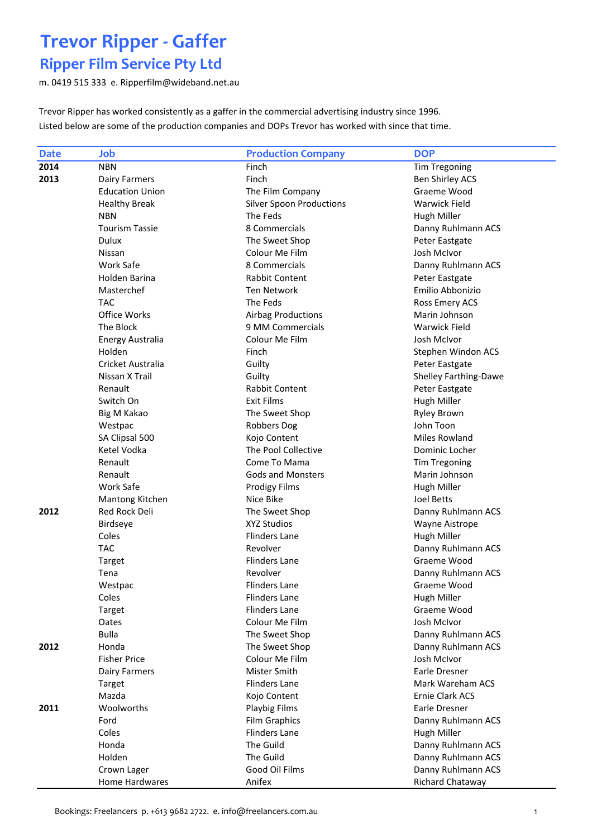#### Ripper Film Service Pty Ltd

m. 0419 515 333 e. Ripperfilm@wideband.net.au

Trevor Ripper has worked consistently as a gaffer in the commercial advertising industry since 1996. Listed below are some of the production companies and DOPs Trevor has worked with since that time.

| <b>Date</b> | Job                    | <b>Production Company</b>       | <b>DOP</b>                   |
|-------------|------------------------|---------------------------------|------------------------------|
| 2014        | <b>NBN</b>             | Finch                           | <b>Tim Tregoning</b>         |
| 2013        | Dairy Farmers          | Finch                           | <b>Ben Shirley ACS</b>       |
|             | <b>Education Union</b> | The Film Company                | Graeme Wood                  |
|             | <b>Healthy Break</b>   | <b>Silver Spoon Productions</b> | <b>Warwick Field</b>         |
|             | <b>NBN</b>             | The Feds                        | Hugh Miller                  |
|             | <b>Tourism Tassie</b>  | 8 Commercials                   | Danny Ruhlmann ACS           |
|             | <b>Dulux</b>           | The Sweet Shop                  | Peter Eastgate               |
|             | Nissan                 | Colour Me Film                  | <b>Josh McIvor</b>           |
|             | Work Safe              | 8 Commercials                   | Danny Ruhlmann ACS           |
|             | Holden Barina          | Rabbit Content                  | Peter Eastgate               |
|             | Masterchef             | <b>Ten Network</b>              | Emilio Abbonizio             |
|             | <b>TAC</b>             | The Feds                        | Ross Emery ACS               |
|             | Office Works           | <b>Airbag Productions</b>       | Marin Johnson                |
|             | The Block              | 9 MM Commercials                | <b>Warwick Field</b>         |
|             | Energy Australia       | Colour Me Film                  | Josh McIvor                  |
|             | Holden                 | Finch                           | Stephen Windon ACS           |
|             | Cricket Australia      | Guilty                          | Peter Eastgate               |
|             | Nissan X Trail         | Guilty                          | <b>Shelley Farthing-Dawe</b> |
|             | Renault                | Rabbit Content                  | Peter Eastgate               |
|             | Switch On              | <b>Exit Films</b>               | <b>Hugh Miller</b>           |
|             | Big M Kakao            | The Sweet Shop                  | <b>Ryley Brown</b>           |
|             | Westpac                | <b>Robbers Dog</b>              | John Toon                    |
|             | SA Clipsal 500         | Kojo Content                    | <b>Miles Rowland</b>         |
|             | Ketel Vodka            | The Pool Collective             | Dominic Locher               |
|             | Renault                | Come To Mama                    | Tim Tregoning                |
|             | Renault                | <b>Gods and Monsters</b>        | Marin Johnson                |
|             | Work Safe              | <b>Prodigy Films</b>            | Hugh Miller                  |
|             | Mantong Kitchen        | Nice Bike                       | <b>Joel Betts</b>            |
| 2012        | Red Rock Deli          | The Sweet Shop                  | Danny Ruhlmann ACS           |
|             | Birdseye               | <b>XYZ Studios</b>              | Wayne Aistrope               |
|             | Coles                  | <b>Flinders Lane</b>            | Hugh Miller                  |
|             | <b>TAC</b>             | Revolver                        | Danny Ruhlmann ACS           |
|             | Target                 | <b>Flinders Lane</b>            | Graeme Wood                  |
|             | Tena                   | Revolver                        | Danny Ruhlmann ACS           |
|             | Westpac                | <b>Flinders Lane</b>            | Graeme Wood                  |
|             | Coles                  | <b>Flinders Lane</b>            | Hugh Miller                  |
|             | <b>Target</b>          | <b>Flinders Lane</b>            | Graeme Wood                  |
|             | Oates                  | Colour Me Film                  | Josh McIvor                  |
|             | <b>Bulla</b>           | The Sweet Shop                  | Danny Ruhlmann ACS           |
| 2012        | Honda                  | The Sweet Shop                  | Danny Ruhlmann ACS           |
|             | <b>Fisher Price</b>    | Colour Me Film                  | Josh McIvor                  |
|             | Dairy Farmers          | Mister Smith                    | Earle Dresner                |
|             | Target                 | <b>Flinders Lane</b>            | Mark Wareham ACS             |
|             | Mazda                  | Kojo Content                    | Ernie Clark ACS              |
| 2011        | Woolworths             | Playbig Films                   | Earle Dresner                |
|             | Ford                   | <b>Film Graphics</b>            | Danny Ruhlmann ACS           |
|             | Coles                  | Flinders Lane                   | Hugh Miller                  |
|             | Honda                  | The Guild                       | Danny Ruhlmann ACS           |
|             | Holden                 | The Guild                       | Danny Ruhlmann ACS           |
|             | Crown Lager            | Good Oil Films                  | Danny Ruhlmann ACS           |
|             | Home Hardwares         | Anifex                          | Richard Chataway             |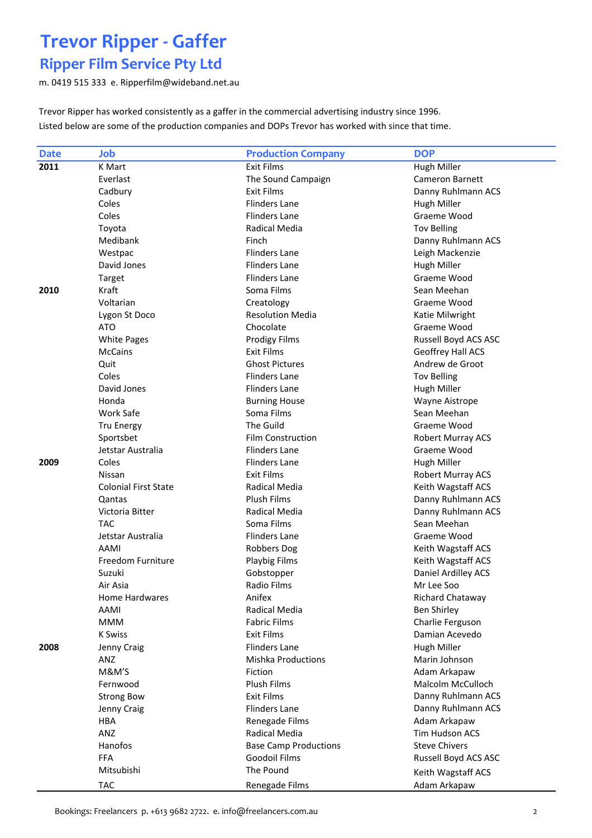### Ripper Film Service Pty Ltd

m. 0419 515 333 e. Ripperfilm@wideband.net.au

Trevor Ripper has worked consistently as a gaffer in the commercial advertising industry since 1996. Listed below are some of the production companies and DOPs Trevor has worked with since that time.

| <b>Date</b> | Job                         | <b>Production Company</b>    | <b>DOP</b>               |
|-------------|-----------------------------|------------------------------|--------------------------|
| 2011        | <b>K</b> Mart               | <b>Exit Films</b>            | Hugh Miller              |
|             | Everlast                    | The Sound Campaign           | Cameron Barnett          |
|             | Cadbury                     | Exit Films                   | Danny Ruhlmann ACS       |
|             | Coles                       | <b>Flinders Lane</b>         | Hugh Miller              |
|             | Coles                       | <b>Flinders Lane</b>         | Graeme Wood              |
|             | Toyota                      | Radical Media                | <b>Tov Belling</b>       |
|             | Medibank                    | Finch                        | Danny Ruhlmann ACS       |
|             | Westpac                     | <b>Flinders Lane</b>         | Leigh Mackenzie          |
|             | David Jones                 | Flinders Lane                | <b>Hugh Miller</b>       |
|             | Target                      | <b>Flinders Lane</b>         | Graeme Wood              |
| 2010        | Kraft                       | Soma Films                   | Sean Meehan              |
|             | Voltarian                   | Creatology                   | Graeme Wood              |
|             | Lygon St Doco               | <b>Resolution Media</b>      | Katie Milwright          |
|             | ATO                         | Chocolate                    | Graeme Wood              |
|             | <b>White Pages</b>          | <b>Prodigy Films</b>         | Russell Boyd ACS ASC     |
|             | <b>McCains</b>              | <b>Exit Films</b>            | Geoffrey Hall ACS        |
|             | Quit                        | <b>Ghost Pictures</b>        | Andrew de Groot          |
|             | Coles                       | <b>Flinders Lane</b>         | <b>Tov Belling</b>       |
|             | David Jones                 | <b>Flinders Lane</b>         | Hugh Miller              |
|             | Honda                       | <b>Burning House</b>         | <b>Wayne Aistrope</b>    |
|             | Work Safe                   | Soma Films                   | Sean Meehan              |
|             | <b>Tru Energy</b>           | The Guild                    | Graeme Wood              |
|             | Sportsbet                   | <b>Film Construction</b>     | <b>Robert Murray ACS</b> |
|             | Jetstar Australia           | <b>Flinders Lane</b>         | Graeme Wood              |
| 2009        | Coles                       | <b>Flinders Lane</b>         | Hugh Miller              |
|             | Nissan                      | <b>Exit Films</b>            | Robert Murray ACS        |
|             | <b>Colonial First State</b> | Radical Media                | Keith Wagstaff ACS       |
|             | Qantas                      | <b>Plush Films</b>           | Danny Ruhlmann ACS       |
|             | Victoria Bitter             | Radical Media                | Danny Ruhlmann ACS       |
|             | <b>TAC</b>                  | Soma Films                   | Sean Meehan              |
|             | Jetstar Australia           | <b>Flinders Lane</b>         | Graeme Wood              |
|             | AAMI                        | Robbers Dog                  | Keith Wagstaff ACS       |
|             | Freedom Furniture           | Playbig Films                | Keith Wagstaff ACS       |
|             | Suzuki                      | Gobstopper                   | Daniel Ardilley ACS      |
|             | Air Asia                    | <b>Radio Films</b>           | Mr Lee Soo               |
|             | Home Hardwares              | Anifex                       | Richard Chataway         |
|             | AAMI                        | Radical Media                | <b>Ben Shirley</b>       |
|             | <b>MMM</b>                  | <b>Fabric Films</b>          | Charlie Ferguson         |
|             | <b>K Swiss</b>              | Exit Films                   | Damian Acevedo           |
| 2008        | Jenny Craig                 | <b>Flinders Lane</b>         | Hugh Miller              |
|             | ANZ                         | <b>Mishka Productions</b>    | Marin Johnson            |
|             | M&M'S                       | Fiction                      | Adam Arkapaw             |
|             | Fernwood                    | Plush Films                  | Malcolm McCulloch        |
|             | <b>Strong Bow</b>           | <b>Exit Films</b>            | Danny Ruhlmann ACS       |
|             | Jenny Craig                 | <b>Flinders Lane</b>         | Danny Ruhlmann ACS       |
|             | HBA                         | Renegade Films               | Adam Arkapaw             |
|             | ANZ                         | Radical Media                | Tim Hudson ACS           |
|             | Hanofos                     | <b>Base Camp Productions</b> | <b>Steve Chivers</b>     |
|             | <b>FFA</b>                  | <b>Goodoil Films</b>         | Russell Boyd ACS ASC     |
|             | Mitsubishi                  | The Pound                    | Keith Wagstaff ACS       |
|             | <b>TAC</b>                  | Renegade Films               | Adam Arkapaw             |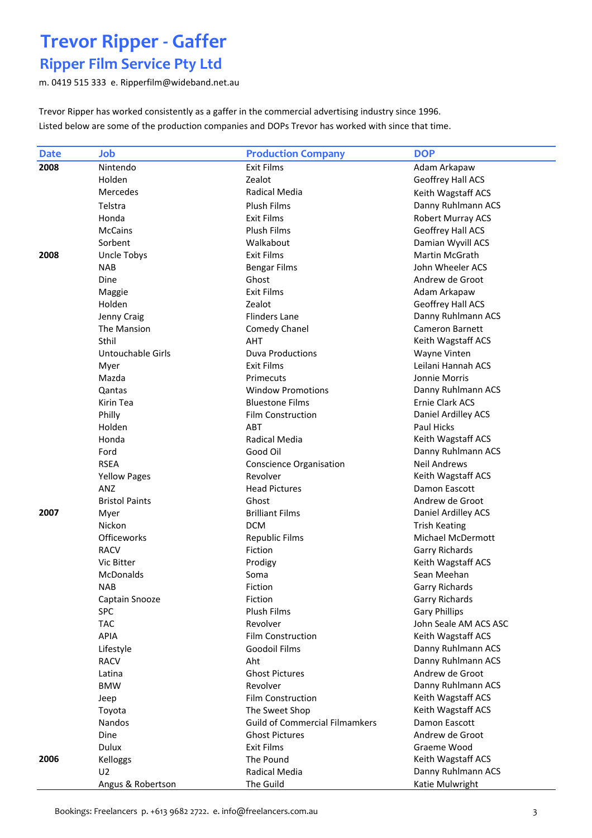### Ripper Film Service Pty Ltd

m. 0419 515 333 e. Ripperfilm@wideband.net.au

Trevor Ripper has worked consistently as a gaffer in the commercial advertising industry since 1996. Listed below are some of the production companies and DOPs Trevor has worked with since that time.

| <b>Date</b> | Job                   | <b>Production Company</b>             | <b>DOP</b>            |
|-------------|-----------------------|---------------------------------------|-----------------------|
| 2008        | Nintendo              | Exit Films                            | Adam Arkapaw          |
|             | Holden                | Zealot                                | Geoffrey Hall ACS     |
|             | Mercedes              | Radical Media                         | Keith Wagstaff ACS    |
|             | Telstra               | <b>Plush Films</b>                    | Danny Ruhlmann ACS    |
|             | Honda                 | <b>Exit Films</b>                     | Robert Murray ACS     |
|             | <b>McCains</b>        | Plush Films                           | Geoffrey Hall ACS     |
|             | Sorbent               | Walkabout                             | Damian Wyvill ACS     |
| 2008        | <b>Uncle Tobys</b>    | <b>Exit Films</b>                     | <b>Martin McGrath</b> |
|             | <b>NAB</b>            | <b>Bengar Films</b>                   | John Wheeler ACS      |
|             | Dine                  | Ghost                                 | Andrew de Groot       |
|             | Maggie                | <b>Exit Films</b>                     | Adam Arkapaw          |
|             | Holden                | Zealot                                | Geoffrey Hall ACS     |
|             | Jenny Craig           | <b>Flinders Lane</b>                  | Danny Ruhlmann ACS    |
|             | The Mansion           | Comedy Chanel                         | Cameron Barnett       |
|             | Sthil                 | <b>AHT</b>                            | Keith Wagstaff ACS    |
|             | Untouchable Girls     | <b>Duva Productions</b>               | Wayne Vinten          |
|             | Myer                  | <b>Exit Films</b>                     | Leilani Hannah ACS    |
|             | Mazda                 | Primecuts                             | Jonnie Morris         |
|             | Qantas                | <b>Window Promotions</b>              | Danny Ruhlmann ACS    |
|             | Kirin Tea             | <b>Bluestone Films</b>                | Ernie Clark ACS       |
|             | Philly                | <b>Film Construction</b>              | Daniel Ardilley ACS   |
|             | Holden                | ABT                                   | Paul Hicks            |
|             | Honda                 | Radical Media                         | Keith Wagstaff ACS    |
|             | Ford                  | Good Oil                              | Danny Ruhlmann ACS    |
|             | <b>RSEA</b>           | <b>Conscience Organisation</b>        | <b>Neil Andrews</b>   |
|             | <b>Yellow Pages</b>   | Revolver                              | Keith Wagstaff ACS    |
|             | ANZ                   | <b>Head Pictures</b>                  | Damon Eascott         |
|             | <b>Bristol Paints</b> | Ghost                                 | Andrew de Groot       |
| 2007        | Myer                  | <b>Brilliant Films</b>                | Daniel Ardilley ACS   |
|             | Nickon                | <b>DCM</b>                            | <b>Trish Keating</b>  |
|             | Officeworks           | <b>Republic Films</b>                 | Michael McDermott     |
|             | <b>RACV</b>           | Fiction                               | <b>Garry Richards</b> |
|             | Vic Bitter            | Prodigy                               | Keith Wagstaff ACS    |
|             | McDonalds             | Soma                                  | Sean Meehan           |
|             | <b>NAB</b>            | Fiction                               | <b>Garry Richards</b> |
|             | Captain Snooze        | Fiction                               | <b>Garry Richards</b> |
|             | SPC                   | Plush Films                           | <b>Gary Phillips</b>  |
|             | <b>TAC</b>            | Revolver                              | John Seale AM ACS ASC |
|             | <b>APIA</b>           | <b>Film Construction</b>              | Keith Wagstaff ACS    |
|             | Lifestyle             | <b>Goodoil Films</b>                  | Danny Ruhlmann ACS    |
|             | <b>RACV</b>           | Aht                                   | Danny Ruhlmann ACS    |
|             | Latina                | <b>Ghost Pictures</b>                 | Andrew de Groot       |
|             | <b>BMW</b>            | Revolver                              | Danny Ruhlmann ACS    |
|             | Jeep                  | <b>Film Construction</b>              | Keith Wagstaff ACS    |
|             | Toyota                | The Sweet Shop                        | Keith Wagstaff ACS    |
|             | Nandos                | <b>Guild of Commercial Filmamkers</b> | Damon Eascott         |
|             | Dine                  | <b>Ghost Pictures</b>                 | Andrew de Groot       |
|             | Dulux                 | Exit Films                            | Graeme Wood           |
| 2006        | Kelloggs              | The Pound                             | Keith Wagstaff ACS    |
|             | U <sub>2</sub>        | Radical Media                         | Danny Ruhlmann ACS    |
|             | Angus & Robertson     | The Guild                             | Katie Mulwright       |